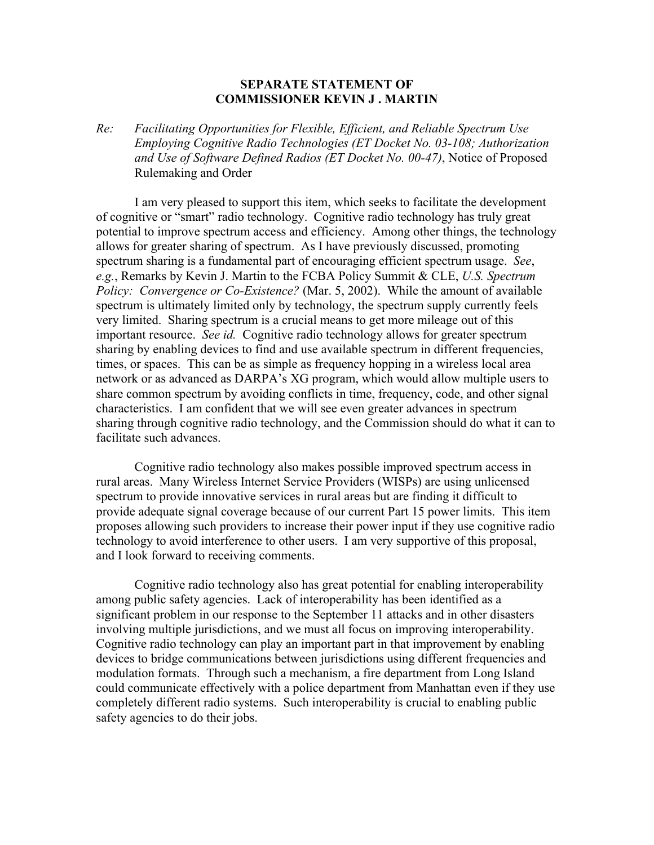## **SEPARATE STATEMENT OF COMMISSIONER KEVIN J . MARTIN**

*Re: Facilitating Opportunities for Flexible, Efficient, and Reliable Spectrum Use Employing Cognitive Radio Technologies (ET Docket No. 03-108; Authorization and Use of Software Defined Radios (ET Docket No. 00-47)*, Notice of Proposed Rulemaking and Order

 I am very pleased to support this item, which seeks to facilitate the development of cognitive or "smart" radio technology. Cognitive radio technology has truly great potential to improve spectrum access and efficiency. Among other things, the technology allows for greater sharing of spectrum. As I have previously discussed, promoting spectrum sharing is a fundamental part of encouraging efficient spectrum usage. *See*, *e.g.*, Remarks by Kevin J. Martin to the FCBA Policy Summit & CLE, *U.S. Spectrum Policy: Convergence or Co-Existence?* (Mar. 5, 2002). While the amount of available spectrum is ultimately limited only by technology, the spectrum supply currently feels very limited. Sharing spectrum is a crucial means to get more mileage out of this important resource. *See id.* Cognitive radio technology allows for greater spectrum sharing by enabling devices to find and use available spectrum in different frequencies, times, or spaces. This can be as simple as frequency hopping in a wireless local area network or as advanced as DARPA's XG program, which would allow multiple users to share common spectrum by avoiding conflicts in time, frequency, code, and other signal characteristics. I am confident that we will see even greater advances in spectrum sharing through cognitive radio technology, and the Commission should do what it can to facilitate such advances.

 Cognitive radio technology also makes possible improved spectrum access in rural areas. Many Wireless Internet Service Providers (WISPs) are using unlicensed spectrum to provide innovative services in rural areas but are finding it difficult to provide adequate signal coverage because of our current Part 15 power limits. This item proposes allowing such providers to increase their power input if they use cognitive radio technology to avoid interference to other users. I am very supportive of this proposal, and I look forward to receiving comments.

 Cognitive radio technology also has great potential for enabling interoperability among public safety agencies. Lack of interoperability has been identified as a significant problem in our response to the September 11 attacks and in other disasters involving multiple jurisdictions, and we must all focus on improving interoperability. Cognitive radio technology can play an important part in that improvement by enabling devices to bridge communications between jurisdictions using different frequencies and modulation formats. Through such a mechanism, a fire department from Long Island could communicate effectively with a police department from Manhattan even if they use completely different radio systems. Such interoperability is crucial to enabling public safety agencies to do their jobs.